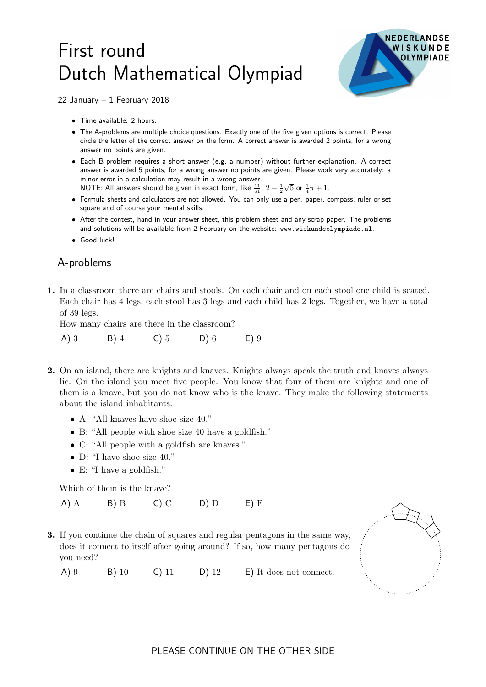## First round Dutch Mathematical Olympiad



22 January – 1 February 2018

- Time available: 2 hours.
- The A-problems are multiple choice questions. Exactly one of the five given options is correct. Please circle the letter of the correct answer on the form. A correct answer is awarded 2 points, for a wrong answer no points are given.
- Each B-problem requires a short answer (e.g. a number) without further explanation. A correct answer is awarded 5 points, for a wrong answer no points are given. Please work very accurately: a minor error in a calculation may result in a wrong answer. NOTE: All answers should be given in exact form, like  $\frac{11}{81}$ ,  $2+\frac{1}{2}$  $\sqrt{5}$  or  $\frac{1}{4}\pi + 1$ .
- Formula sheets and calculators are not allowed. You can only use a pen, paper, compass, ruler or set square and of course your mental skills.
- After the contest, hand in your answer sheet, this problem sheet and any scrap paper. The problems and solutions will be available from 2 February on the website: www.wiskundeolympiade.nl.
- Good luck!

## A-problems

1. In a classroom there are chairs and stools. On each chair and on each stool one child is seated. Each chair has 4 legs, each stool has 3 legs and each child has 2 legs. Together, we have a total of 39 legs.

How many chairs are there in the classroom?

A) 3 B) 4 C) 5 D) 6 E) 9

- 2. On an island, there are knights and knaves. Knights always speak the truth and knaves always lie. On the island you meet five people. You know that four of them are knights and one of them is a knave, but you do not know who is the knave. They make the following statements about the island inhabitants:
	- A: "All knaves have shoe size 40."
	- B: "All people with shoe size 40 have a goldfish."
	- C: "All people with a goldfish are knaves."
	- D: "I have shoe size 40."
	- E: "I have a goldfish."

Which of them is the knave?

A) A B) B C) C D) D E) E

3. If you continue the chain of squares and regular pentagons in the same way, does it connect to itself after going around? If so, how many pentagons do you need?

A) 9 B) 10 C) 11 D) 12 E) It does not connect.

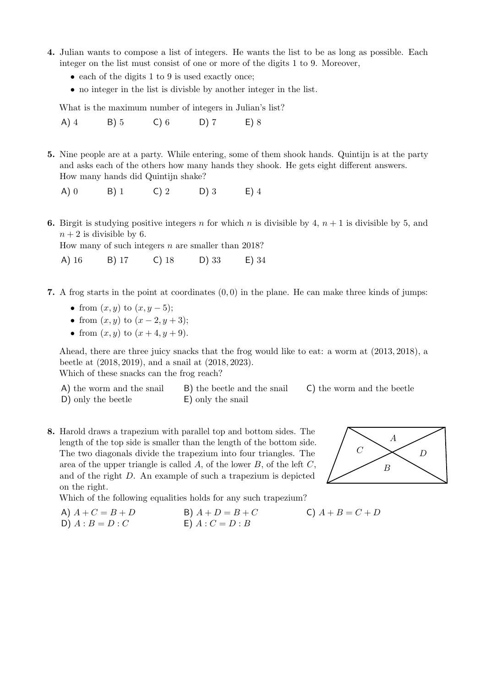- 4. Julian wants to compose a list of integers. He wants the list to be as long as possible. Each integer on the list must consist of one or more of the digits 1 to 9. Moreover,
	- each of the digits 1 to 9 is used exactly once;
	- no integer in the list is divisble by another integer in the list.

What is the maximum number of integers in Julian's list?

A) 4 B) 5 C) 6 D) 7 E) 8

- 5. Nine people are at a party. While entering, some of them shook hands. Quintijn is at the party and asks each of the others how many hands they shook. He gets eight different answers. How many hands did Quintijn shake?
	- A) 0 B) 1 C) 2 D) 3 E) 4
- **6.** Birgit is studying positive integers n for which n is divisible by 4,  $n + 1$  is divisible by 5, and  $n + 2$  is divisible by 6.

How many of such integers  $n$  are smaller than 2018?

A) 16 B) 17 C) 18 D) 33 E) 34

- 7. A frog starts in the point at coordinates  $(0, 0)$  in the plane. He can make three kinds of jumps:
	- from  $(x, y)$  to  $(x, y 5)$ ;
	- from  $(x, y)$  to  $(x 2, y + 3);$
	- from  $(x, y)$  to  $(x + 4, y + 9)$ .

Ahead, there are three juicy snacks that the frog would like to eat: a worm at (2013, 2018), a beetle at (2018, 2019), and a snail at (2018, 2023).

Which of these snacks can the frog reach?

| A) the worm and the snail | B) the beetle and the snail | C) the worm and the beetle |
|---------------------------|-----------------------------|----------------------------|
| D) only the beetle        | E) only the snail           |                            |

8. Harold draws a trapezium with parallel top and bottom sides. The length of the top side is smaller than the length of the bottom side. The two diagonals divide the trapezium into four triangles. The area of the upper triangle is called  $A$ , of the lower  $B$ , of the left  $C$ . and of the right D. An example of such a trapezium is depicted on the right.

Which of the following equalities holds for any such trapezium?

A)  $A + C = B + D$  B)  $A + D = B + C$  C)  $A + B = C + D$ D)  $A : B = D : C$  E)  $A : C = D : B$